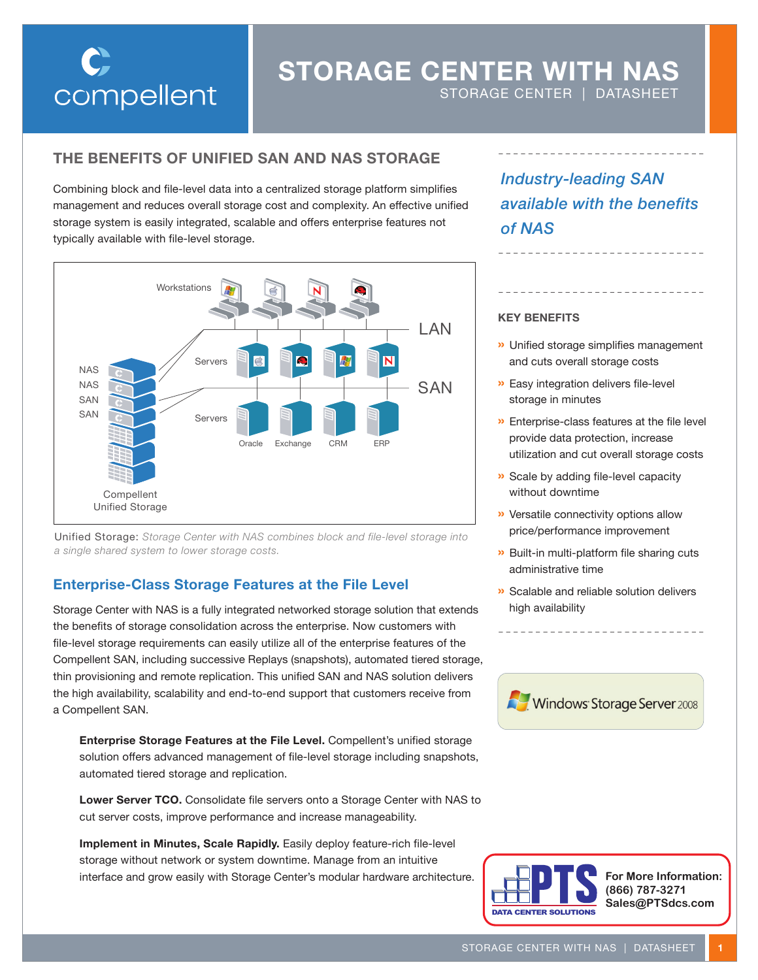

# **STORAGE CENTER WITH NAS**

STORAGE CENTER | DATASHEET

## **THE BENEFITS OF UNIFIED SAN AND NAS STORAGE**

Combining block and file-level data into a centralized storage platform simplifies management and reduces overall storage cost and complexity. An effective unified storage system is easily integrated, scalable and offers enterprise features not typically available with file-level storage.



Unified Storage: *Storage Center with NAS combines block and file-level storage into a single shared system to lower storage costs.*

## **Enterprise-Class Storage Features at the File Level**

Storage Center with NAS is a fully integrated networked storage solution that extends the benefits of storage consolidation across the enterprise. Now customers with file-level storage requirements can easily utilize all of the enterprise features of the Compellent SAN, including successive Replays (snapshots), automated tiered storage, thin provisioning and remote replication. This unified SAN and NAS solution delivers the high availability, scalability and end-to-end support that customers receive from a Compellent SAN.

**Enterprise Storage Features at the File Level.** Compellent's unified storage solution offers advanced management of file-level storage including snapshots, automated tiered storage and replication.

**Lower Server TCO.** Consolidate file servers onto a Storage Center with NAS to cut server costs, improve performance and increase manageability.

**Implement in Minutes, Scale Rapidly.** Easily deploy feature-rich file-level storage without network or system downtime. Manage from an intuitive interface and grow easily with Storage Center's modular hardware architecture. *Industry-leading SAN available with the benefits of NAS*

### **KEY BENEFITS**

- **»** Unified storage simplifies management and cuts overall storage costs
- **»** Easy integration delivers file-level storage in minutes
- **»** Enterprise-class features at the file level provide data protection, increase utilization and cut overall storage costs
- **»** Scale by adding file-level capacity without downtime
- **»** Versatile connectivity options allow price/performance improvement
- **»** Built-in multi-platform file sharing cuts administrative time
- **»** Scalable and reliable solution delivers high availability





**For More Information: (866) 787-3271 Sales@PTSdcs.com**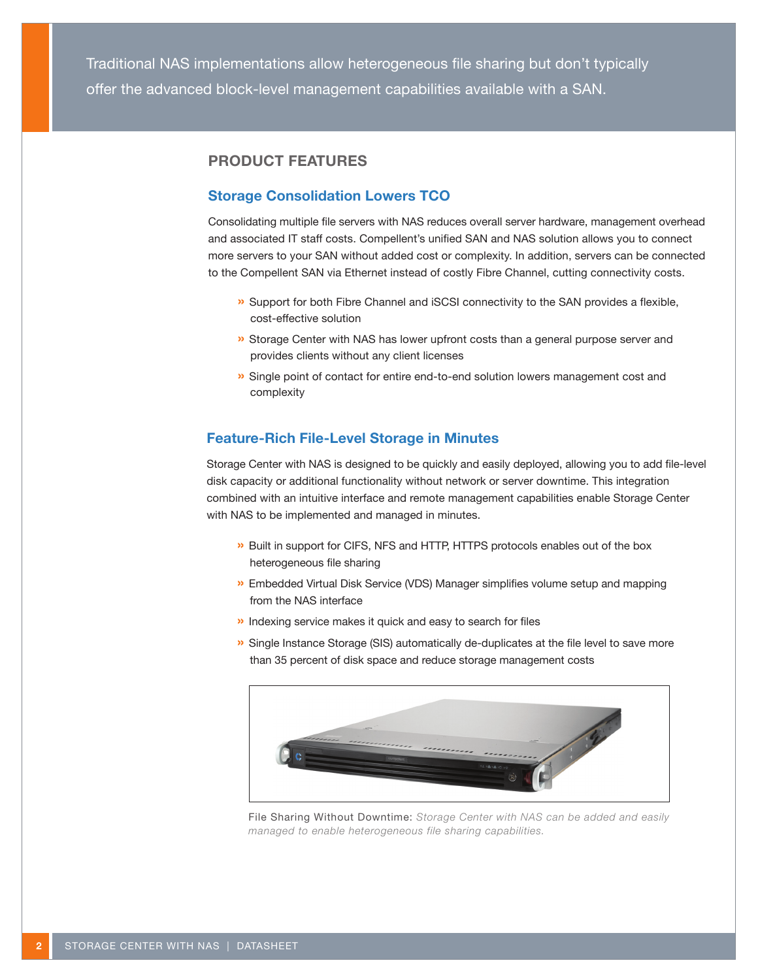Traditional NAS implementations allow heterogeneous file sharing but don't typically offer the advanced block-level management capabilities available with a SAN.

## **PRODUCT FEATURES**

## **Storage Consolidation Lowers TCO**

Consolidating multiple file servers with NAS reduces overall server hardware, management overhead and associated IT staff costs. Compellent's unified SAN and NAS solution allows you to connect more servers to your SAN without added cost or complexity. In addition, servers can be connected to the Compellent SAN via Ethernet instead of costly Fibre Channel, cutting connectivity costs.

- **»** Support for both Fibre Channel and iSCSI connectivity to the SAN provides a flexible, cost-effective solution
- **»** Storage Center with NAS has lower upfront costs than a general purpose server and provides clients without any client licenses
- **»** Single point of contact for entire end-to-end solution lowers management cost and complexity

## **Feature-Rich File-Level Storage in Minutes**

Storage Center with NAS is designed to be quickly and easily deployed, allowing you to add file-level disk capacity or additional functionality without network or server downtime. This integration combined with an intuitive interface and remote management capabilities enable Storage Center with NAS to be implemented and managed in minutes.

- **»** Built in support for CIFS, NFS and HTTP, HTTPS protocols enables out of the box heterogeneous file sharing
- **»** Embedded Virtual Disk Service (VDS) Manager simplifies volume setup and mapping from the NAS interface
- **»** Indexing service makes it quick and easy to search for files
- **»** Single Instance Storage (SIS) automatically de-duplicates at the file level to save more than 35 percent of disk space and reduce storage management costs



File Sharing Without Downtime: *Storage Center with NAS can be added and easily managed to enable heterogeneous file sharing capabilities.*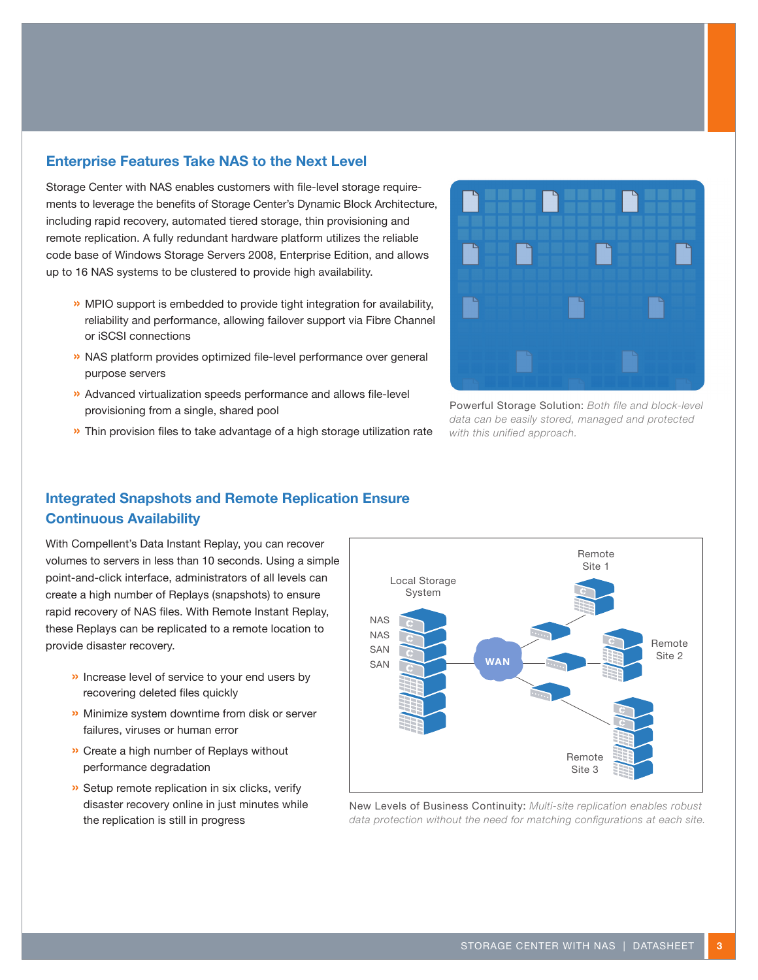## **Enterprise Features Take NAS to the Next Level**

Storage Center with NAS enables customers with file-level storage requirements to leverage the benefits of Storage Center's Dynamic Block Architecture, including rapid recovery, automated tiered storage, thin provisioning and remote replication. A fully redundant hardware platform utilizes the reliable code base of Windows Storage Servers 2008, Enterprise Edition, and allows up to 16 NAS systems to be clustered to provide high availability.

- **»** MPIO support is embedded to provide tight integration for availability, reliability and performance, allowing failover support via Fibre Channel or iSCSI connections
- **»** NAS platform provides optimized file-level performance over general purpose servers
- **»** Advanced virtualization speeds performance and allows file-level provisioning from a single, shared pool





Powerful Storage Solution: *Both file and block-level data can be easily stored, managed and protected with this unified approach.*

## **Integrated Snapshots and Remote Replication Ensure Continuous Availability**

With Compellent's Data Instant Replay, you can recover volumes to servers in less than 10 seconds. Using a simple point-and-click interface, administrators of all levels can create a high number of Replays (snapshots) to ensure rapid recovery of NAS files. With Remote Instant Replay, these Replays can be replicated to a remote location to provide disaster recovery.

- **»** Increase level of service to your end users by recovering deleted files quickly
- **»** Minimize system downtime from disk or server failures, viruses or human error
- **»** Create a high number of Replays without performance degradation
- **»** Setup remote replication in six clicks, verify disaster recovery online in just minutes while the replication is still in progress



New Levels of Business Continuity: *Multi-site replication enables robust data protection without the need for matching configurations at each site.*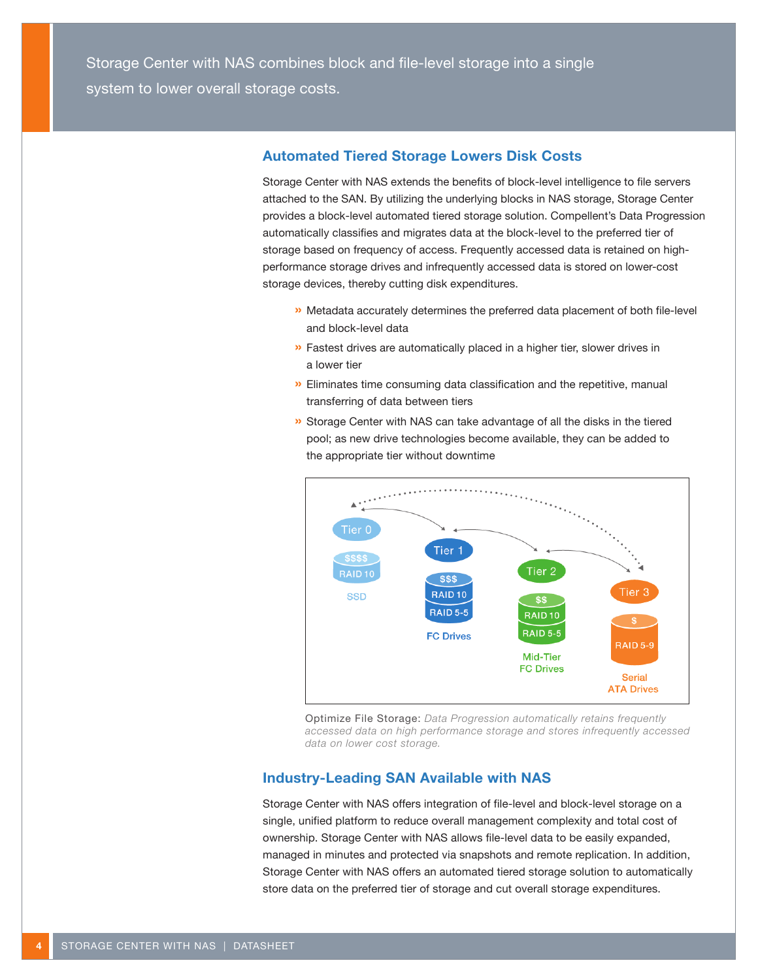## **Automated Tiered Storage Lowers Disk Costs**

Storage Center with NAS extends the benefits of block-level intelligence to file servers attached to the SAN. By utilizing the underlying blocks in NAS storage, Storage Center provides a block-level automated tiered storage solution. Compellent's Data Progression automatically classifies and migrates data at the block-level to the preferred tier of storage based on frequency of access. Frequently accessed data is retained on highperformance storage drives and infrequently accessed data is stored on lower-cost storage devices, thereby cutting disk expenditures.

- **»** Metadata accurately determines the preferred data placement of both file-level and block-level data
- **»** Fastest drives are automatically placed in a higher tier, slower drives in a lower tier
- **»** Eliminates time consuming data classification and the repetitive, manual transferring of data between tiers
- **»** Storage Center with NAS can take advantage of all the disks in the tiered pool; as new drive technologies become available, they can be added to the appropriate tier without downtime



Optimize File Storage: *Data Progression automatically retains frequently accessed data on high performance storage and stores infrequently accessed data on lower cost storage.*

## **Industry-Leading SAN Available with NAS**

Storage Center with NAS offers integration of file-level and block-level storage on a single, unified platform to reduce overall management complexity and total cost of ownership. Storage Center with NAS allows file-level data to be easily expanded, managed in minutes and protected via snapshots and remote replication. In addition, Storage Center with NAS offers an automated tiered storage solution to automatically store data on the preferred tier of storage and cut overall storage expenditures.